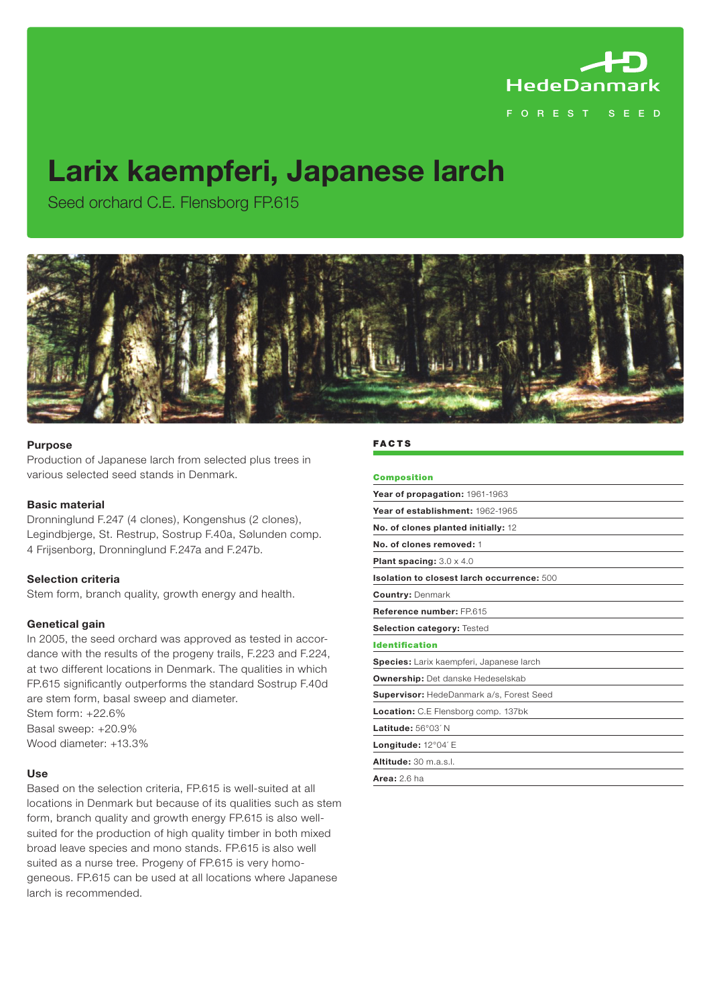

# **Larix kaempferi, Japanese larch**

Seed orchard C.E. Flensborg FP.615



# **Purpose**

Production of Japanese larch from selected plus trees in various selected seed stands in Denmark.

#### **Basic material**

Dronninglund F.247 (4 clones), Kongenshus (2 clones), Legindbjerge, St. Restrup, Sostrup F.40a, Sølunden comp. 4 Frijsenborg, Dronninglund F.247a and F.247b.

#### **Selection criteria**

Stem form, branch quality, growth energy and health.

# **Genetical gain**

In 2005, the seed orchard was approved as tested in accordance with the results of the progeny trails, F.223 and F.224, at two different locations in Denmark. The qualities in which FP.615 significantly outperforms the standard Sostrup F.40d are stem form, basal sweep and diameter. Stem form: +22.6% Basal sweep: +20.9%

Wood diameter: +13.3%

#### **Use**

Based on the selection criteria, FP.615 is well-suited at all locations in Denmark but because of its qualities such as stem form, branch quality and growth energy FP.615 is also wellsuited for the production of high quality timber in both mixed broad leave species and mono stands. FP.615 is also well suited as a nurse tree. Progeny of FP.615 is very homogeneous. FP.615 can be used at all locations where Japanese larch is recommended.

# **FACTS**

| <b>Composition</b>                              |
|-------------------------------------------------|
| Year of propagation: 1961-1963                  |
| Year of establishment: 1962-1965                |
| No. of clones planted initially: 12             |
| No. of clones removed: 1                        |
| <b>Plant spacing:</b> $3.0 \times 4.0$          |
| Isolation to closest larch occurrence: 500      |
| <b>Country: Denmark</b>                         |
| Reference number: FP.615                        |
| Selection category: Tested                      |
| <b>Identification</b>                           |
| Species: Larix kaempferi, Japanese larch        |
| <b>Ownership:</b> Det danske Hedeselskab        |
| <b>Supervisor:</b> HedeDanmark a/s, Forest Seed |
| <b>Location:</b> C.E Flensborg comp. 137bk      |
| Latitude: 56°03' N                              |
| <b>Longitude:</b> $12^{\circ}04'$ E             |
| Altitude: 30 m.a.s.l.                           |
| <b>Area:</b> 2.6 ha                             |